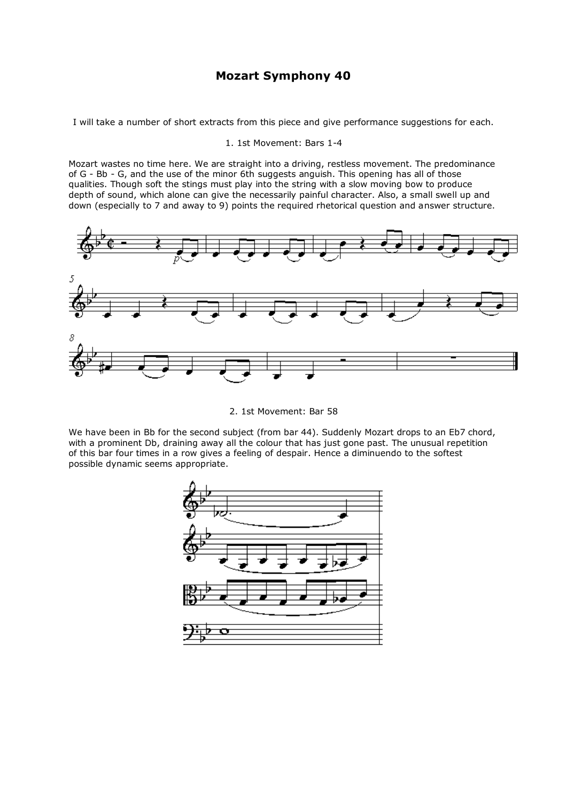# **Mozart Symphony 40**

I will take a number of short extracts from this piece and give performance suggestions for each.

1. 1st Movement: Bars 1-4

Mozart wastes no time here. We are straight into a driving, restless movement. The predominance of G - Bb - G, and the use of the minor 6th suggests anguish. This opening has all of those qualities. Though soft the stings must play into the string with a slow moving bow to produce depth of sound, which alone can give the necessarily painful character. Also, a small swell up and down (especially to 7 and away to 9) points the required rhetorical question and answer structure.



2. 1st Movement: Bar 58

We have been in Bb for the second subject (from bar 44). Suddenly Mozart drops to an Eb7 chord, with a prominent Db, draining away all the colour that has just gone past. The unusual repetition of this bar four times in a row gives a feeling of despair. Hence a diminuendo to the softest possible dynamic seems appropriate.

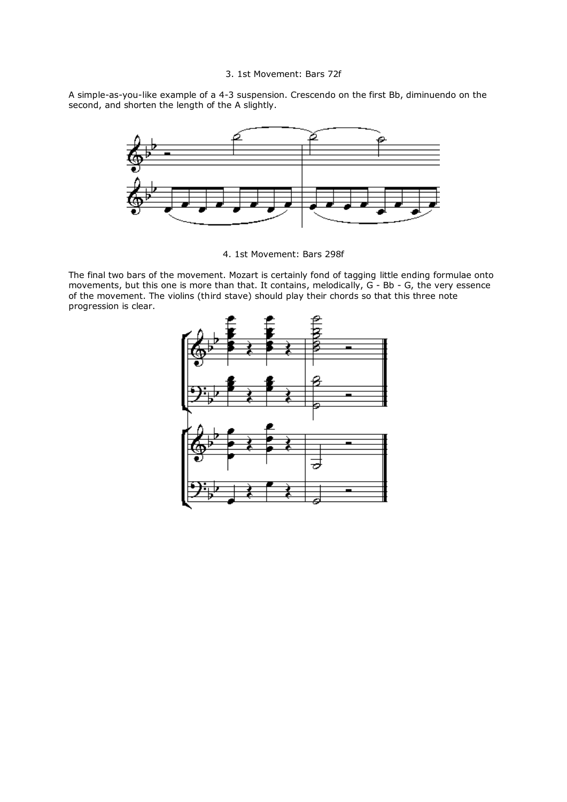## 3. 1st Movement: Bars 72f

A simple-as-you-like example of a 4-3 suspension. Crescendo on the first Bb, diminuendo on the second, and shorten the length of the A slightly.



4. 1st Movement: Bars 298f

The final two bars of the movement. Mozart is certainly fond of tagging little ending formulae onto movements, but this one is more than that. It contains, melodically, G - Bb - G, the very essence of the movement. The violins (third stave) should play their chords so that this three note progression is clear.

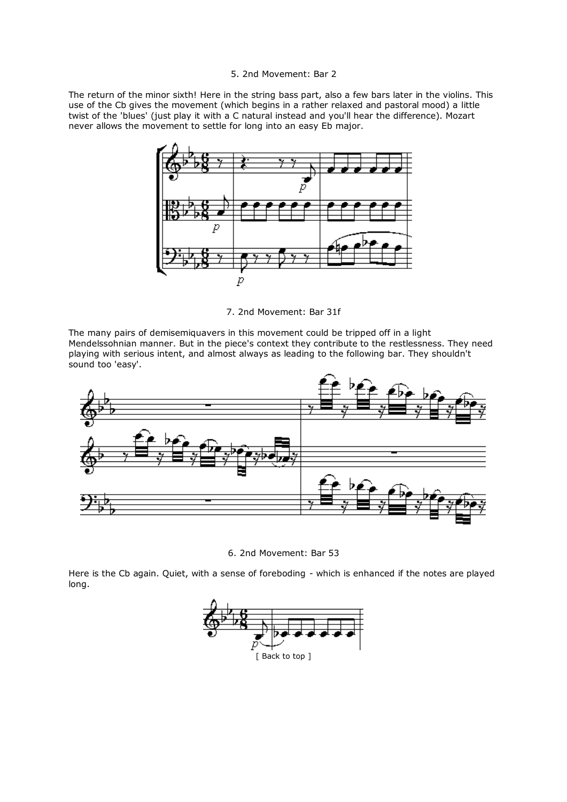## 5. 2nd Movement: Bar 2

The return of the minor sixth! Here in the string bass part, also a few bars later in the violins. This use of the Cb gives the movement (which begins in a rather relaxed and pastoral mood) a little twist of the 'blues' (just play it with a C natural instead and you'll hear the difference). Mozart never allows the movement to settle for long into an easy Eb major.



7. 2nd Movement: Bar 31f

The many pairs of demisemiquavers in this movement could be tripped off in a light Mendelssohnian manner. But in the piece's context they contribute to the restlessness. They need playing with serious intent, and almost always as leading to the following bar. They shouldn't sound too 'easy'.



6. 2nd Movement: Bar 53

Here is the Cb again. Quiet, with a sense of foreboding - which is enhanced if the notes are played long.

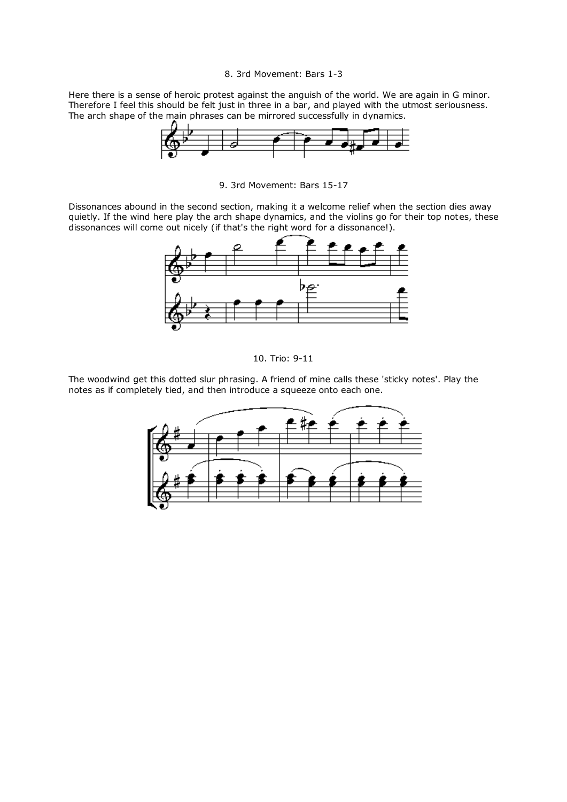#### 8. 3rd Movement: Bars 1-3

Here there is a sense of heroic protest against the anguish of the world. We are again in G minor. Therefore I feel this should be felt just in three in a bar, and played with the utmost seriousness. The arch shape of the main phrases can be mirrored successfully in dynamics.



9. 3rd Movement: Bars 15-17

Dissonances abound in the second section, making it a welcome relief when the section dies away quietly. If the wind here play the arch shape dynamics, and the violins go for their top notes, these dissonances will come out nicely (if that's the right word for a dissonance!).



10. Trio: 9-11

The woodwind get this dotted slur phrasing. A friend of mine calls these 'sticky notes'. Play the notes as if completely tied, and then introduce a squeeze onto each one.

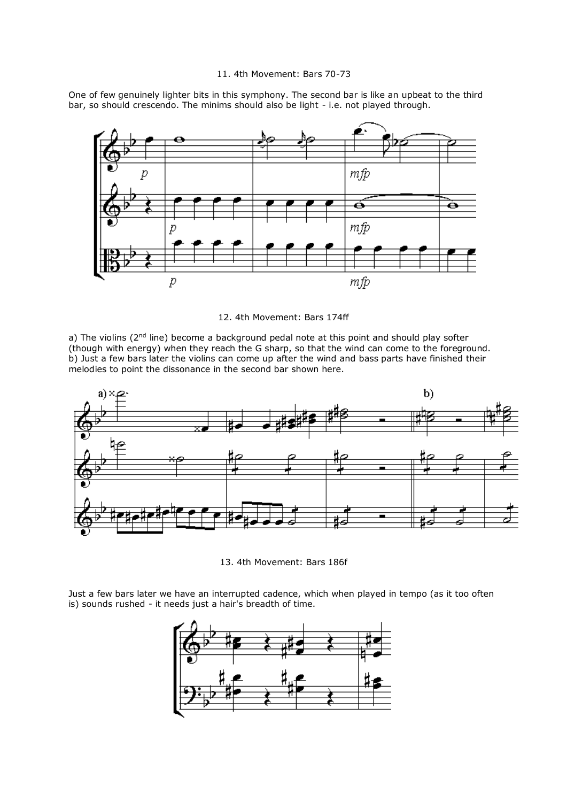### 11. 4th Movement: Bars 70-73

One of few genuinely lighter bits in this symphony. The second bar is like an upbeat to the third bar, so should crescendo. The minims should also be light - i.e. not played through.



12. 4th Movement: Bars 174ff

a) The violins ( $2<sup>nd</sup>$  line) become a background pedal note at this point and should play softer (though with energy) when they reach the G sharp, so that the wind can come to the foreground. b) Just a few bars later the violins can come up after the wind and bass parts have finished their melodies to point the dissonance in the second bar shown here.



13. 4th Movement: Bars 186f

Just a few bars later we have an interrupted cadence, which when played in tempo (as it too often is) sounds rushed - it needs just a hair's breadth of time.